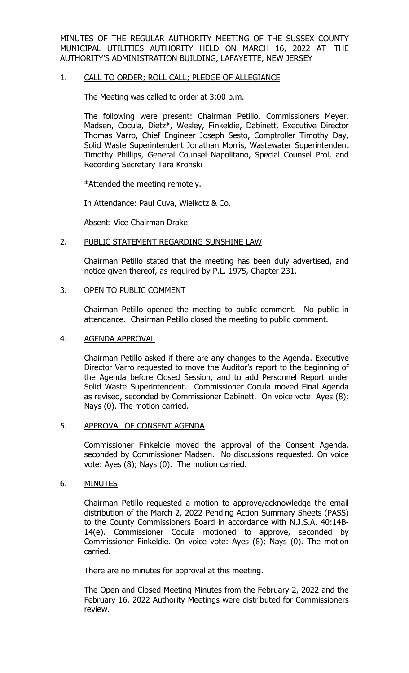MINUTES OF THE REGULAR AUTHORITY MEETING OF THE SUSSEX COUNTY MUNICIPAL UTILITIES AUTHORITY HELD ON MARCH 16, 2022 AT THE AUTHORITY'S ADMINISTRATION BUILDING, LAFAYETTE, NEW JERSEY

## 1. CALL TO ORDER; ROLL CALL; PLEDGE OF ALLEGIANCE

The Meeting was called to order at 3:00 p.m.

The following were present: Chairman Petillo, Commissioners Meyer, Madsen, Cocula, Dietz\*, Wesley, Finkeldie, Dabinett, Executive Director Thomas Varro, Chief Engineer Joseph Sesto, Comptroller Timothy Day, Solid Waste Superintendent Jonathan Morris, Wastewater Superintendent Timothy Phillips, General Counsel Napolitano, Special Counsel Prol, and Recording Secretary Tara Kronski

\*Attended the meeting remotely.

In Attendance: Paul Cuva, Wielkotz & Co.

Absent: Vice Chairman Drake

#### 2. PUBLIC STATEMENT REGARDING SUNSHINE LAW

Chairman Petillo stated that the meeting has been duly advertised, and notice given thereof, as required by P.L. 1975, Chapter 231.

#### 3. OPEN TO PUBLIC COMMENT

Chairman Petillo opened the meeting to public comment. No public in attendance. Chairman Petillo closed the meeting to public comment.

#### 4. AGENDA APPROVAL

Chairman Petillo asked if there are any changes to the Agenda. Executive Director Varro requested to move the Auditor's report to the beginning of the Agenda before Closed Session, and to add Personnel Report under Solid Waste Superintendent. Commissioner Cocula moved Final Agenda as revised, seconded by Commissioner Dabinett. On voice vote: Ayes (8); Nays (0). The motion carried.

#### 5. APPROVAL OF CONSENT AGENDA

Commissioner Finkeldie moved the approval of the Consent Agenda, seconded by Commissioner Madsen. No discussions requested. On voice vote: Ayes (8); Nays (0). The motion carried.

#### 6. MINUTES

Chairman Petillo requested a motion to approve/acknowledge the email distribution of the March 2, 2022 Pending Action Summary Sheets (PASS) to the County Commissioners Board in accordance with N.J.S.A. 40:14B-14(e). Commissioner Cocula motioned to approve, seconded by Commissioner Finkeldie. On voice vote: Ayes (8); Nays (0). The motion carried.

There are no minutes for approval at this meeting.

The Open and Closed Meeting Minutes from the February 2, 2022 and the February 16, 2022 Authority Meetings were distributed for Commissioners review.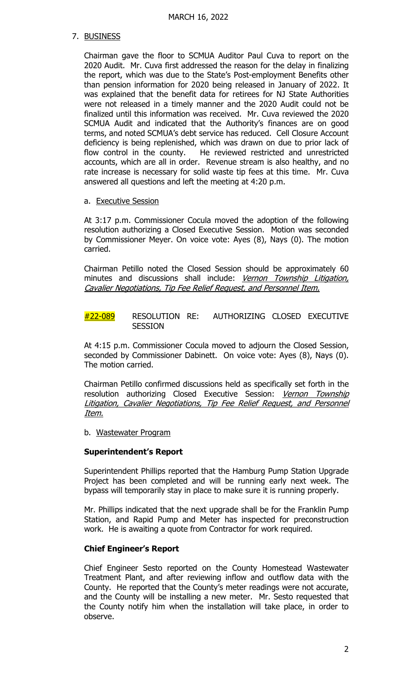## 7. BUSINESS

Chairman gave the floor to SCMUA Auditor Paul Cuva to report on the 2020 Audit. Mr. Cuva first addressed the reason for the delay in finalizing the report, which was due to the State's Post-employment Benefits other than pension information for 2020 being released in January of 2022. It was explained that the benefit data for retirees for NJ State Authorities were not released in a timely manner and the 2020 Audit could not be finalized until this information was received. Mr. Cuva reviewed the 2020 SCMUA Audit and indicated that the Authority's finances are on good terms, and noted SCMUA's debt service has reduced. Cell Closure Account deficiency is being replenished, which was drawn on due to prior lack of flow control in the county. He reviewed restricted and unrestricted accounts, which are all in order. Revenue stream is also healthy, and no rate increase is necessary for solid waste tip fees at this time. Mr. Cuva answered all questions and left the meeting at 4:20 p.m.

## a. Executive Session

At 3:17 p.m. Commissioner Cocula moved the adoption of the following resolution authorizing a Closed Executive Session. Motion was seconded by Commissioner Meyer. On voice vote: Ayes (8), Nays (0). The motion carried.

Chairman Petillo noted the Closed Session should be approximately 60 minutes and discussions shall include: Vernon Township Litigation, Cavalier Negotiations, Tip Fee Relief Request, and Personnel Item.

#22-089 RESOLUTION RE: AUTHORIZING CLOSED EXECUTIVE **SESSION** 

At 4:15 p.m. Commissioner Cocula moved to adjourn the Closed Session, seconded by Commissioner Dabinett. On voice vote: Ayes (8), Nays (0). The motion carried.

Chairman Petillo confirmed discussions held as specifically set forth in the resolution authorizing Closed Executive Session: Vernon Township Litigation, Cavalier Negotiations, Tip Fee Relief Request, and Personnel Item.

b. Wastewater Program

## **Superintendent's Report**

Superintendent Phillips reported that the Hamburg Pump Station Upgrade Project has been completed and will be running early next week. The bypass will temporarily stay in place to make sure it is running properly.

Mr. Phillips indicated that the next upgrade shall be for the Franklin Pump Station, and Rapid Pump and Meter has inspected for preconstruction work. He is awaiting a quote from Contractor for work required.

## **Chief Engineer's Report**

Chief Engineer Sesto reported on the County Homestead Wastewater Treatment Plant, and after reviewing inflow and outflow data with the County. He reported that the County's meter readings were not accurate, and the County will be installing a new meter. Mr. Sesto requested that the County notify him when the installation will take place, in order to observe.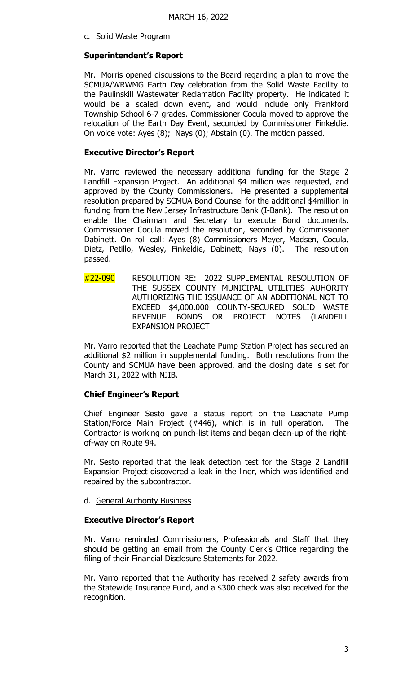c. Solid Waste Program

## **Superintendent's Report**

Mr. Morris opened discussions to the Board regarding a plan to move the SCMUA/WRWMG Earth Day celebration from the Solid Waste Facility to the Paulinskill Wastewater Reclamation Facility property. He indicated it would be a scaled down event, and would include only Frankford Township School 6-7 grades. Commissioner Cocula moved to approve the relocation of the Earth Day Event, seconded by Commissioner Finkeldie. On voice vote: Ayes (8); Nays (0); Abstain (0). The motion passed.

## **Executive Director's Report**

Mr. Varro reviewed the necessary additional funding for the Stage 2 Landfill Expansion Project. An additional \$4 million was requested, and approved by the County Commissioners. He presented a supplemental resolution prepared by SCMUA Bond Counsel for the additional \$4million in funding from the New Jersey Infrastructure Bank (I-Bank). The resolution enable the Chairman and Secretary to execute Bond documents. Commissioner Cocula moved the resolution, seconded by Commissioner Dabinett. On roll call: Ayes (8) Commissioners Meyer, Madsen, Cocula, Dietz, Petillo, Wesley, Finkeldie, Dabinett; Nays (0). The resolution passed.

#22-090 RESOLUTION RE: 2022 SUPPLEMENTAL RESOLUTION OF THE SUSSEX COUNTY MUNICIPAL UTILITIES AUHORITY AUTHORIZING THE ISSUANCE OF AN ADDITIONAL NOT TO EXCEED \$4,000,000 COUNTY-SECURED SOLID WASTE REVENUE BONDS OR PROJECT NOTES (LANDFILL EXPANSION PROJECT

Mr. Varro reported that the Leachate Pump Station Project has secured an additional \$2 million in supplemental funding. Both resolutions from the County and SCMUA have been approved, and the closing date is set for March 31, 2022 with NJIB.

# **Chief Engineer's Report**

Chief Engineer Sesto gave a status report on the Leachate Pump Station/Force Main Project (#446), which is in full operation. The Contractor is working on punch-list items and began clean-up of the rightof-way on Route 94.

Mr. Sesto reported that the leak detection test for the Stage 2 Landfill Expansion Project discovered a leak in the liner, which was identified and repaired by the subcontractor.

d. General Authority Business

## **Executive Director's Report**

Mr. Varro reminded Commissioners, Professionals and Staff that they should be getting an email from the County Clerk's Office regarding the filing of their Financial Disclosure Statements for 2022.

Mr. Varro reported that the Authority has received 2 safety awards from the Statewide Insurance Fund, and a \$300 check was also received for the recognition.